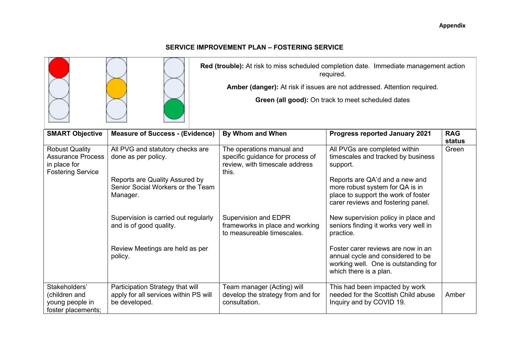## **SERVICE IMPROVEMENT PLAN – FOSTERING SERVICE**

**Red (trouble):** At risk to miss scheduled completion date. Immediate management action required.

**Amber (danger):** At risk if issues are not addressed. Attention required.

**Green (all good):** On track to meet scheduled dates

| <b>SMART Objective</b>                                                                        | <b>Measure of Success - (Evidence)</b>                                                     | By Whom and When                                                                                         | <b>Progress reported January 2021</b>                                                                                                          | <b>RAG</b>      |
|-----------------------------------------------------------------------------------------------|--------------------------------------------------------------------------------------------|----------------------------------------------------------------------------------------------------------|------------------------------------------------------------------------------------------------------------------------------------------------|-----------------|
| <b>Robust Quality</b><br><b>Assurance Process</b><br>in place for<br><b>Fostering Service</b> | All PVG and statutory checks are<br>done as per policy.                                    | The operations manual and<br>specific guidance for process of<br>review, with timescale address<br>this. | All PVGs are completed within<br>timescales and tracked by business<br>support.                                                                | status<br>Green |
|                                                                                               | Reports are Quality Assured by<br>Senior Social Workers or the Team<br>Manager.            |                                                                                                          | Reports are QA'd and a new and<br>more robust system for QA is in<br>place to support the work of foster<br>carer reviews and fostering panel. |                 |
|                                                                                               | Supervision is carried out regularly<br>and is of good quality.                            | Supervision and EDPR<br>frameworks in place and working<br>to measureable timescales.                    | New supervision policy in place and<br>seniors finding it works very well in<br>practice.                                                      |                 |
|                                                                                               | Review Meetings are held as per<br>policy.                                                 |                                                                                                          | Foster carer reviews are now in an<br>annual cycle and considered to be<br>working well. One is outstanding for<br>which there is a plan.      |                 |
| Stakeholders'<br>(children and<br>young people in<br>foster placements;                       | Participation Strategy that will<br>apply for all services within PS will<br>be developed. | Team manager (Acting) will<br>develop the strategy from and for<br>consultation.                         | This had been impacted by work<br>needed for the Scottish Child abuse<br>Inquiry and by COVID 19.                                              | Amber           |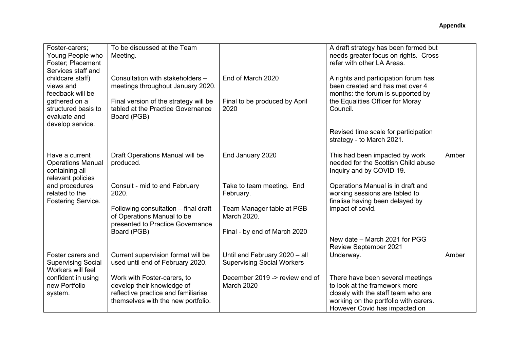| Foster-carers;<br>Young People who<br>Foster; Placement<br>Services staff and     | To be discussed at the Team<br>Meeting.                                                                                                |                                                                    | A draft strategy has been formed but<br>needs greater focus on rights. Cross<br>refer with other LA Areas.                                        |       |
|-----------------------------------------------------------------------------------|----------------------------------------------------------------------------------------------------------------------------------------|--------------------------------------------------------------------|---------------------------------------------------------------------------------------------------------------------------------------------------|-------|
| childcare staff)<br>views and<br>feedback will be                                 | Consultation with stakeholders -<br>meetings throughout January 2020.                                                                  | End of March 2020                                                  | A rights and participation forum has<br>been created and has met over 4<br>months: the forum is supported by                                      |       |
| gathered on a<br>structured basis to<br>evaluate and<br>develop service.          | Final version of the strategy will be<br>tabled at the Practice Governance<br>Board (PGB)                                              | Final to be produced by April<br>2020                              | the Equalities Officer for Moray<br>Council.                                                                                                      |       |
|                                                                                   |                                                                                                                                        |                                                                    | Revised time scale for participation<br>strategy - to March 2021.                                                                                 |       |
| Have a current<br><b>Operations Manual</b><br>containing all<br>relevant policies | Draft Operations Manual will be<br>produced.                                                                                           | End January 2020                                                   | This had been impacted by work<br>needed for the Scottish Child abuse<br>Inquiry and by COVID 19.                                                 | Amber |
| and procedures<br>related to the<br>Fostering Service.                            | Consult - mid to end February<br>2020.                                                                                                 | Take to team meeting. End<br>February.                             | Operations Manual is in draft and<br>working sessions are tabled to<br>finalise having been delayed by                                            |       |
|                                                                                   | Following consultation - final draft<br>of Operations Manual to be<br>presented to Practice Governance                                 | Team Manager table at PGB<br>March 2020.                           | impact of covid.                                                                                                                                  |       |
|                                                                                   | Board (PGB)                                                                                                                            | Final - by end of March 2020                                       | New date - March 2021 for PGG<br><b>Review September 2021</b>                                                                                     |       |
| Foster carers and<br><b>Supervising Social</b><br>Workers will feel               | Current supervision format will be<br>used until end of February 2020.                                                                 | Until end February 2020 - all<br><b>Supervising Social Workers</b> | Underway.                                                                                                                                         | Amber |
| confident in using<br>new Portfolio<br>system.                                    | Work with Foster-carers, to<br>develop their knowledge of<br>reflective practice and familiarise<br>themselves with the new portfolio. | December 2019 -> review end of<br><b>March 2020</b>                | There have been several meetings<br>to look at the framework more<br>closely with the staff team who are<br>working on the portfolio with carers. |       |
|                                                                                   |                                                                                                                                        |                                                                    | However Covid has impacted on                                                                                                                     |       |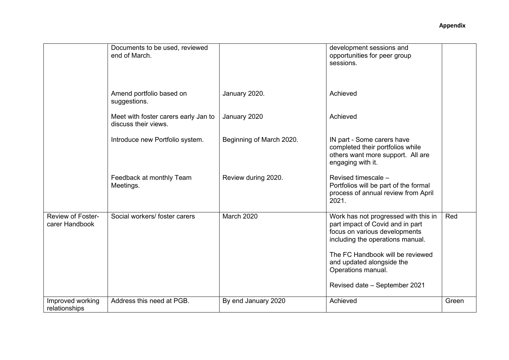|                                     | Documents to be used, reviewed<br>end of March.              |                          | development sessions and<br>opportunities for peer group<br>sessions.                                                                         |       |
|-------------------------------------|--------------------------------------------------------------|--------------------------|-----------------------------------------------------------------------------------------------------------------------------------------------|-------|
|                                     | Amend portfolio based on<br>suggestions.                     | January 2020.            | Achieved                                                                                                                                      |       |
|                                     | Meet with foster carers early Jan to<br>discuss their views. | January 2020             | Achieved                                                                                                                                      |       |
|                                     | Introduce new Portfolio system.                              | Beginning of March 2020. | IN part - Some carers have<br>completed their portfolios while<br>others want more support. All are<br>engaging with it.                      |       |
|                                     | Feedback at monthly Team<br>Meetings.                        | Review during 2020.      | Revised timescale -<br>Portfolios will be part of the formal<br>process of annual review from April<br>2021.                                  |       |
| Review of Foster-<br>carer Handbook | Social workers/ foster carers                                | <b>March 2020</b>        | Work has not progressed with this in<br>part impact of Covid and in part<br>focus on various developments<br>including the operations manual. | Red   |
|                                     |                                                              |                          | The FC Handbook will be reviewed<br>and updated alongside the<br>Operations manual.                                                           |       |
|                                     |                                                              |                          | Revised date - September 2021                                                                                                                 |       |
| Improved working<br>relationships   | Address this need at PGB.                                    | By end January 2020      | Achieved                                                                                                                                      | Green |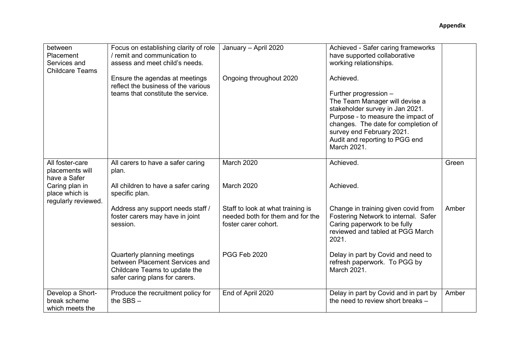| between<br>Placement<br>Services and                    | Focus on establishing clarity of role<br>/ remit and communication to<br>assess and meet child's needs.                          | January - April 2020                                                                          | Achieved - Safer caring frameworks<br>have supported collaborative<br>working relationships.                                                                                                                                                                       |       |
|---------------------------------------------------------|----------------------------------------------------------------------------------------------------------------------------------|-----------------------------------------------------------------------------------------------|--------------------------------------------------------------------------------------------------------------------------------------------------------------------------------------------------------------------------------------------------------------------|-------|
| <b>Childcare Teams</b>                                  | Ensure the agendas at meetings<br>reflect the business of the various<br>teams that constitute the service.                      | Ongoing throughout 2020                                                                       | Achieved.<br>Further progression -<br>The Team Manager will devise a<br>stakeholder survey in Jan 2021.<br>Purpose - to measure the impact of<br>changes. The date for completion of<br>survey end February 2021.<br>Audit and reporting to PGG end<br>March 2021. |       |
| All foster-care<br>placements will<br>have a Safer      | All carers to have a safer caring<br>plan.                                                                                       | March 2020                                                                                    | Achieved.                                                                                                                                                                                                                                                          | Green |
| Caring plan in<br>place which is<br>regularly reviewed. | All children to have a safer caring<br>specific plan.                                                                            | <b>March 2020</b>                                                                             | Achieved.                                                                                                                                                                                                                                                          |       |
|                                                         | Address any support needs staff /<br>foster carers may have in joint<br>session.                                                 | Staff to look at what training is<br>needed both for them and for the<br>foster carer cohort. | Change in training given covid from<br>Fostering Network to internal. Safer<br>Caring paperwork to be fully<br>reviewed and tabled at PGG March<br>2021.                                                                                                           | Amber |
|                                                         | Quarterly planning meetings<br>between Placement Services and<br>Childcare Teams to update the<br>safer caring plans for carers. | PGG Feb 2020                                                                                  | Delay in part by Covid and need to<br>refresh paperwork. To PGG by<br>March 2021.                                                                                                                                                                                  |       |
| Develop a Short-<br>break scheme<br>which meets the     | Produce the recruitment policy for<br>the $SBS -$                                                                                | End of April 2020                                                                             | Delay in part by Covid and in part by<br>the need to review short breaks -                                                                                                                                                                                         | Amber |